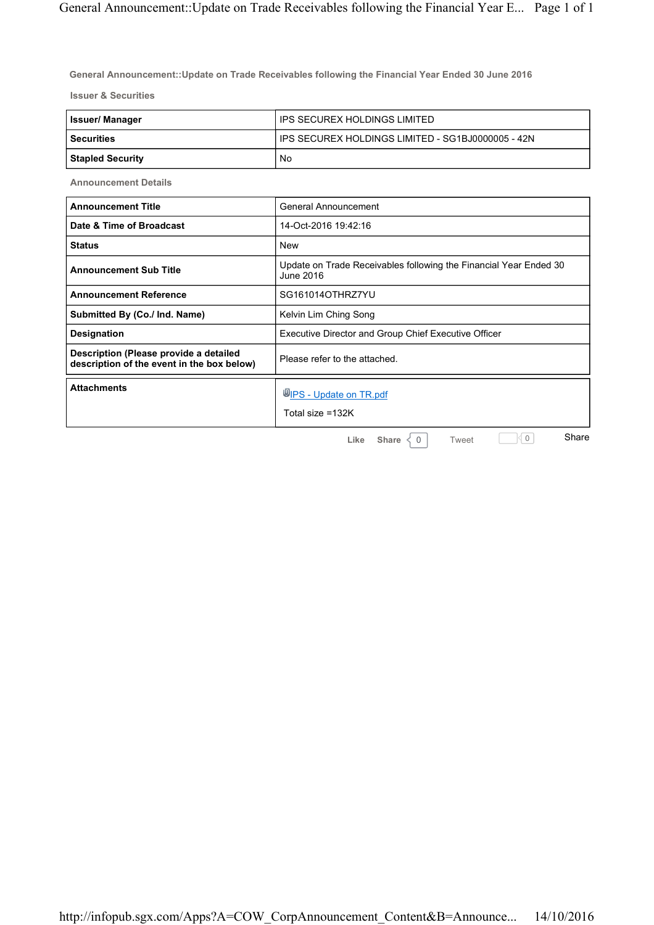**General Announcement::Update on Trade Receivables following the Financial Year Ended 30 June 2016**

**Issuer & Securities**

| <b>Issuer/Manager</b>   | IPS SECUREX HOLDINGS LIMITED                        |
|-------------------------|-----------------------------------------------------|
| l Securities            | I IPS SECUREX HOLDINGS LIMITED - SG1BJ0000005 - 42N |
| <b>Stapled Security</b> | No                                                  |

**Announcement Details**

| <b>Announcement Title</b>                                                            | General Announcement                                                           |
|--------------------------------------------------------------------------------------|--------------------------------------------------------------------------------|
| Date & Time of Broadcast                                                             | 14-Oct-2016 19:42:16                                                           |
| <b>Status</b>                                                                        | <b>New</b>                                                                     |
| <b>Announcement Sub Title</b>                                                        | Update on Trade Receivables following the Financial Year Ended 30<br>June 2016 |
| <b>Announcement Reference</b>                                                        | SG161014OTHRZ7YU                                                               |
| Submitted By (Co./ Ind. Name)                                                        | Kelvin Lim Ching Song                                                          |
| <b>Designation</b>                                                                   | <b>Executive Director and Group Chief Executive Officer</b>                    |
| Description (Please provide a detailed<br>description of the event in the box below) | Please refer to the attached.                                                  |
| <b>Attachments</b>                                                                   | UPS - Update on TR.pdf<br>Total size =132K                                     |
|                                                                                      | Share<br>0<br>Share<br>Like<br>$\Omega$<br>Tweet                               |